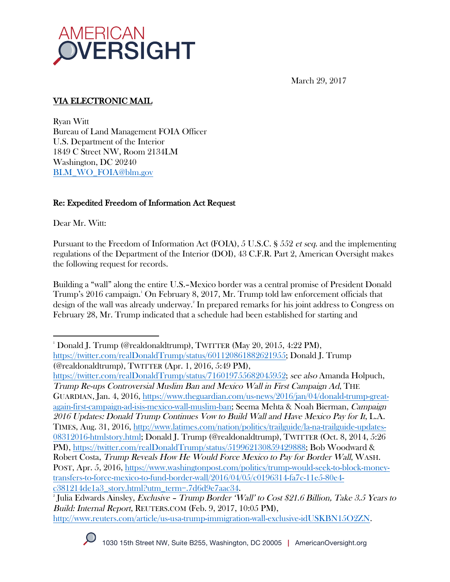

March 29, 2017

# VIA ELECTRONIC MAIL

Ryan Witt Bureau of Land Management FOIA Officer U.S. Department of the Interior 1849 C Street NW, Room 2134LM Washington, DC 20240 BLM\_WO\_FOIA@blm.gov

### Re: Expedited Freedom of Information Act Request

Dear Mr. Witt:

Pursuant to the Freedom of Information Act (FOIA), 5 U.S.C. § 552 et seq. and the implementing regulations of the Department of the Interior (DOI), 43 C.F.R. Part 2, American Oversight makes the following request for records.

Building a "wall" along the entire U.S.–Mexico border was a central promise of President Donald Trump's 2016 campaign.1 On February 8, 2017, Mr. Trump told law enforcement officials that design of the wall was already underway. 2 In prepared remarks for his joint address to Congress on February 28, Mr. Trump indicated that a schedule had been established for starting and

https://twitter.com/realDonaldTrump/status/716019755682045952; see also Amanda Holpuch, Trump Re-ups Controversial Muslim Ban and Mexico Wall in First Campaign Ad, THE GUARDIAN, Jan. 4, 2016, https://www.theguardian.com/us-news/2016/jan/04/donald-trump-greatagain-first-campaign-ad-isis-mexico-wall-muslim-ban; Seema Mehta & Noah Bierman, Campaign 2016 Updates: Donald Trump Continues Vow to Build Wall and Have Mexico Pay for It, L.A. TIMES, Aug. 31, 2016, http://www.latimes.com/nation/politics/trailguide/la-na-trailguide-updates-08312016-htmlstory.html; Donald J. Trump (@realdonaldtrump), TWITTER (Oct. 8, 2014, 5:26 PM), https://twitter.com/realDonaldTrump/status/519962130859429888; Bob Woodward & Robert Costa, Trump Reveals How He Would Force Mexico to Pay for Border Wall, WASH. POST, Apr. 5, 2016, https://www.washingtonpost.com/politics/trump-would-seek-to-block-moneytransfers-to-force-mexico-to-fund-border-wall/2016/04/05/c0196314-fa7c-11e5-80e4 c381214de1a3\_story.html?utm\_term=.7d6d9e7aac34. 2

<sup>&</sup>lt;sup>2</sup> Julia Edwards Ainsley, *Exclusive – Trump Border 'Wall' to Cost \$21.6 Billion, Take 3.5 Years to* Build: Internal Report, REUTERS.COM (Feb. 9, 2017, 10:05 PM), http://www.reuters.com/article/us-usa-trump-immigration-wall-exclusive-idUSKBN15O2ZN.



 1 Donald J. Trump (@realdonaldtrump), TWITTER (May 20, 2015, 4:22 PM), https://twitter.com/realDonaldTrump/status/601120861882621955; Donald J. Trump (@realdonaldtrump), TWITTER (Apr. 1, 2016, 5:49 PM),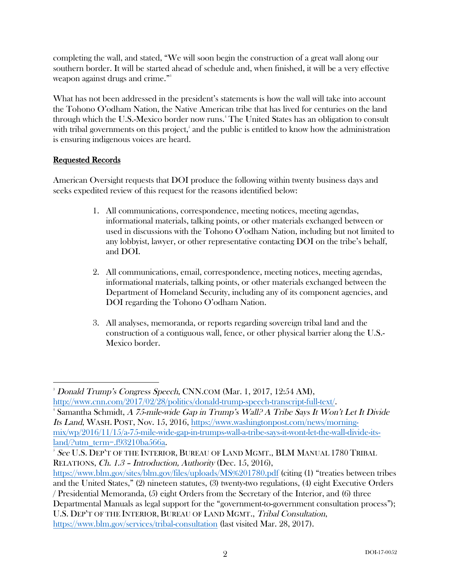completing the wall, and stated, "We will soon begin the construction of a great wall along our southern border. It will be started ahead of schedule and, when finished, it will be a very effective weapon against drugs and crime." 3

What has not been addressed in the president's statements is how the wall will take into account the Tohono O'odham Nation, the Native American tribe that has lived for centuries on the land through which the U.S.-Mexico border now runs. 4 The United States has an obligation to consult with tribal governments on this project, 5 and the public is entitled to know how the administration is ensuring indigenous voices are heard.

## Requested Records

American Oversight requests that DOI produce the following within twenty business days and seeks expedited review of this request for the reasons identified below:

- 1. All communications, correspondence, meeting notices, meeting agendas, informational materials, talking points, or other materials exchanged between or used in discussions with the Tohono O'odham Nation, including but not limited to any lobbyist, lawyer, or other representative contacting DOI on the tribe's behalf, and DOI.
- 2. All communications, email, correspondence, meeting notices, meeting agendas, informational materials, talking points, or other materials exchanged between the Department of Homeland Security, including any of its component agencies, and DOI regarding the Tohono O'odham Nation.
- 3. All analyses, memoranda, or reports regarding sovereign tribal land and the construction of a contiguous wall, fence, or other physical barrier along the U.S.- Mexico border.

 3 Donald Trump's Congress Speech, CNN.COM (Mar. 1, 2017, 12:54 AM), http://www.cnn.com/2017/02/28/politics/donald-trump-speech-transcript-full-text/. 4

Samantha Schmidt, A 75-mile-wide Gap in Trump's Wall? A Tribe Says It Won't Let It Divide Its Land, WASH. POST, Nov. 15, 2016, https://www.washingtonpost.com/news/morningmix/wp/2016/11/15/a-75-mile-wide-gap-in-trumps-wall-a-tribe-says-it-wont-let-the-wall-divide-itsland/?utm\_term=.f93210ba566a.

 $^5$  See U.S. Dep't of the Interior, Bureau of Land Mgmt., BLM Manual 1780 Tribal RELATIONS, Ch. 1.3 – Introduction, Authority (Dec. 15, 2016),

https://www.blm.gov/sites/blm.gov/files/uploads/MS%201780.pdf (citing (1) "treaties between tribes and the United States," (2) nineteen statutes, (3) twenty-two regulations, (4) eight Executive Orders / Presidential Memoranda, (5) eight Orders from the Secretary of the Interior, and (6) three Departmental Manuals as legal support for the "government-to-government consultation process"); U.S. DEP'T OF THE INTERIOR, BUREAU OF LAND MGMT., Tribal Consultation,

https://www.blm.gov/services/tribal-consultation (last visited Mar. 28, 2017).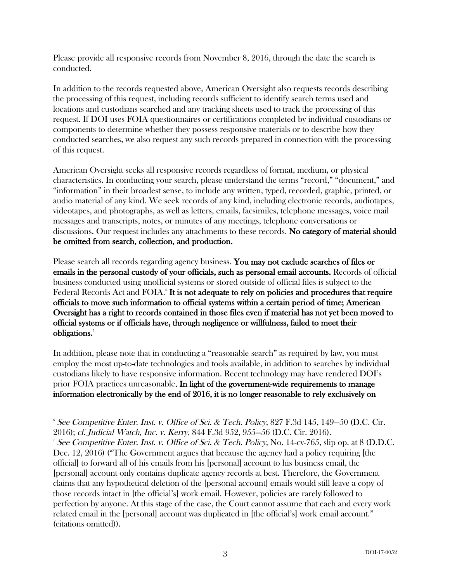Please provide all responsive records from November 8, 2016, through the date the search is conducted.

In addition to the records requested above, American Oversight also requests records describing the processing of this request, including records sufficient to identify search terms used and locations and custodians searched and any tracking sheets used to track the processing of this request. If DOI uses FOIA questionnaires or certifications completed by individual custodians or components to determine whether they possess responsive materials or to describe how they conducted searches, we also request any such records prepared in connection with the processing of this request.

American Oversight seeks all responsive records regardless of format, medium, or physical characteristics. In conducting your search, please understand the terms "record," "document," and "information" in their broadest sense, to include any written, typed, recorded, graphic, printed, or audio material of any kind. We seek records of any kind, including electronic records, audiotapes, videotapes, and photographs, as well as letters, emails, facsimiles, telephone messages, voice mail messages and transcripts, notes, or minutes of any meetings, telephone conversations or discussions. Our request includes any attachments to these records. No category of material should be omitted from search, collection, and production.

Please search all records regarding agency business. You may not exclude searches of files or emails in the personal custody of your officials, such as personal email accounts. Records of official business conducted using unofficial systems or stored outside of official files is subject to the Federal Records Act and FOIA.<sup>6</sup> It is not adequate to rely on policies and procedures that require officials to move such information to official systems within a certain period of time; American Oversight has a right to records contained in those files even if material has not yet been moved to official systems or if officials have, through negligence or willfulness, failed to meet their obligations.<sup>7</sup>

In addition, please note that in conducting a "reasonable search" as required by law, you must employ the most up-to-date technologies and tools available, in addition to searches by individual custodians likely to have responsive information. Recent technology may have rendered DOI's prior FOIA practices unreasonable. In light of the government-wide requirements to manage information electronically by the end of 2016, it is no longer reasonable to rely exclusively on

  $\delta$  See Competitive Enter. Inst. v. Office of Sci. & Tech. Policy, 827 F.3d 145, 149–50 (D.C. Cir. 2016); cf. Judicial Watch, Inc. v. Kerry, 844 F.3d 952, 955—56 (D.C. Cir. 2016). 7

See Competitive Enter. Inst. v. Office of Sci. & Tech. Policy, No.  $14$ -cv-765, slip op. at 8 (D.D.C. Dec. 12, 2016) ("The Government argues that because the agency had a policy requiring [the official] to forward all of his emails from his [personal] account to his business email, the [personal] account only contains duplicate agency records at best. Therefore, the Government claims that any hypothetical deletion of the [personal account] emails would still leave a copy of those records intact in [the official's] work email. However, policies are rarely followed to perfection by anyone. At this stage of the case, the Court cannot assume that each and every work related email in the [personal] account was duplicated in [the official's] work email account." (citations omitted)).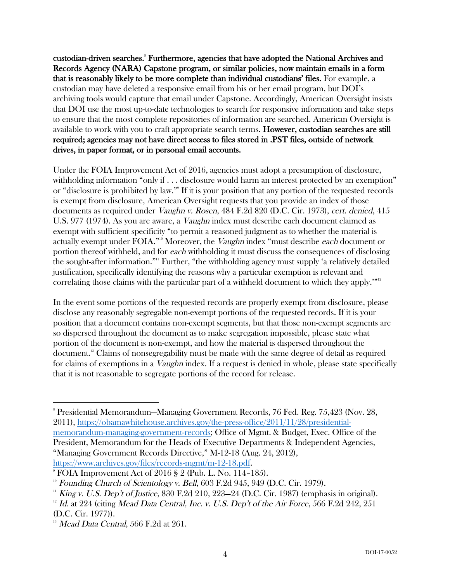custodian-driven searches.<sup>8</sup> Furthermore, agencies that have adopted the National Archives and Records Agency (NARA) Capstone program, or similar policies, now maintain emails in a form that is reasonably likely to be more complete than individual custodians' files. For example, a custodian may have deleted a responsive email from his or her email program, but DOI's archiving tools would capture that email under Capstone. Accordingly, American Oversight insists that DOI use the most up-to-date technologies to search for responsive information and take steps to ensure that the most complete repositories of information are searched. American Oversight is available to work with you to craft appropriate search terms. However, custodian searches are still required; agencies may not have direct access to files stored in .PST files, outside of network drives, in paper format, or in personal email accounts.

Under the FOIA Improvement Act of 2016, agencies must adopt a presumption of disclosure, withholding information "only if . . . disclosure would harm an interest protected by an exemption" or "disclosure is prohibited by law."9 If it is your position that any portion of the requested records is exempt from disclosure, American Oversight requests that you provide an index of those documents as required under Vaughn v. Rosen, 484 F.2d 820 (D.C. Cir. 1973), cert. denied, 415 U.S. 977 (1974). As you are aware, a *Vaughn* index must describe each document claimed as exempt with sufficient specificity "to permit a reasoned judgment as to whether the material is actually exempt under FOIA."<sup>10</sup> Moreover, the *Vaughn* index "must describe each document or portion thereof withheld, and for each withholding it must discuss the consequences of disclosing the sought-after information."11 Further, "the withholding agency must supply 'a relatively detailed justification, specifically identifying the reasons why a particular exemption is relevant and correlating those claims with the particular part of a withheld document to which they apply.'"<sup>12</sup>

In the event some portions of the requested records are properly exempt from disclosure, please disclose any reasonably segregable non-exempt portions of the requested records. If it is your position that a document contains non-exempt segments, but that those non-exempt segments are so dispersed throughout the document as to make segregation impossible, please state what portion of the document is non-exempt, and how the material is dispersed throughout the document.13 Claims of nonsegregability must be made with the same degree of detail as required for claims of exemptions in a *Vaughn* index. If a request is denied in whole, please state specifically that it is not reasonable to segregate portions of the record for release.

 

<sup>8</sup> Presidential Memorandum—Managing Government Records, 76 Fed. Reg. 75,423 (Nov. 28, 2011), https://obamawhitehouse.archives.gov/the-press-office/2011/11/28/presidentialmemorandum-managing-government-records; Office of Mgmt. & Budget, Exec. Office of the President, Memorandum for the Heads of Executive Departments & Independent Agencies, "Managing Government Records Directive," M-12-18 (Aug. 24, 2012), https://www.archives.gov/files/records-mgmt/m-12-18.pdf.

 $\degree$  FOIA Improvement Act of 2016 § 2 (Pub. L. No. 114–185).

 $10^{\circ}$  Founding Church of Scientology v. Bell, 603 F.2d 945, 949 (D.C. Cir. 1979).

 $11$  King v. U.S. Dep't of Justice, 830 F.2d 210, 223–24 (D.C. Cir. 1987) (emphasis in original).

 $12$  Id. at 224 (citing Mead Data Central, Inc. v. U.S. Dep't of the Air Force, 566 F.2d 242, 251 (D.C. Cir. 1977)).

 $13$  Mead Data Central, 566 F.2d at 261.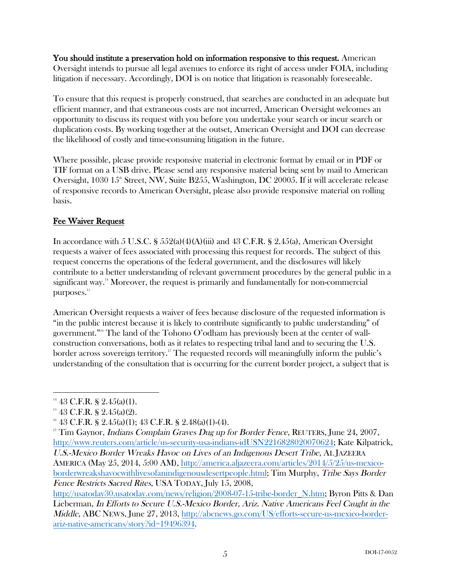You should institute a preservation hold on information responsive to this request. American Oversight intends to pursue all legal avenues to enforce its right of access under FOIA, including litigation if necessary. Accordingly, DOI is on notice that litigation is reasonably foreseeable.

To ensure that this request is properly construed, that searches are conducted in an adequate but efficient manner, and that extraneous costs are not incurred, American Oversight welcomes an opportunity to discuss its request with you before you undertake your search or incur search or duplication costs. By working together at the outset, American Oversight and DOI can decrease the likelihood of costly and time-consuming litigation in the future.

Where possible, please provide responsive material in electronic format by email or in PDF or TIF format on a USB drive. Please send any responsive material being sent by mail to American Oversight, 1030  $15^{\circ}$  Street, NW, Suite B255, Washington, DC 20005. If it will accelerate release of responsive records to American Oversight, please also provide responsive material on rolling basis.

## Fee Waiver Request

In accordance with 5 U.S.C. §  $552(a)(4)(A)(iii)$  and 43 C.F.R. § 2.45(a), American Oversight requests a waiver of fees associated with processing this request for records. The subject of this request concerns the operations of the federal government, and the disclosures will likely contribute to a better understanding of relevant government procedures by the general public in a significant way.<sup>14</sup> Moreover, the request is primarily and fundamentally for non-commercial purposes.<sup>15</sup>

American Oversight requests a waiver of fees because disclosure of the requested information is "in the public interest because it is likely to contribute significantly to public understanding" of government." <sup>16</sup> The land of the Tohono O'odham has previously been at the center of wallconstruction conversations, both as it relates to respecting tribal land and to securing the U.S. border across sovereign territory. <sup>17</sup> The requested records will meaningfully inform the public's understanding of the consultation that is occurring for the current border project, a subject that is

borderwreakshavocwithlivesofanindigenousdesertpeople.html; Tim Murphy, Tribe Says Border Fence Restricts Sacred Rites, USA TODAY, July 15, 2008,

http://usatoday30.usatoday.com/news/religion/2008-07-15-tribe-border\_N.htm; Byron Pitts & Dan Lieberman, In Efforts to Secure U.S.-Mexico Border, Ariz. Native Americans Feel Caught in the Middle, ABC NEWS, June 27, 2013, http://abcnews.go.com/US/efforts-secure-us-mexico-borderariz-native-americans/story?id=19496394.

  $14\,43$  C.F.R. § 2.45(a)(1).

 $15$  43 C.F.R. § 2.45(a)(2).

 $16$  43 C.F.R. § 2.45(a)(1); 43 C.F.R. § 2.48(a)(1)-(4).

<sup>&</sup>lt;sup>17</sup> Tim Gaynor, *Indians Complain Graves Dug up for Border Fence*, REUTERS, June 24, 2007, http://www.reuters.com/article/us-security-usa-indians-idUSN2216828020070624; Kate Kilpatrick, U.S.-Mexico Border Wreaks Havoc on Lives of an Indigenous Desert Tribe, AL JAZEERA AMERICA (May 25, 2014, 5:00 AM), http://america.aljazeera.com/articles/2014/5/25/us-mexico-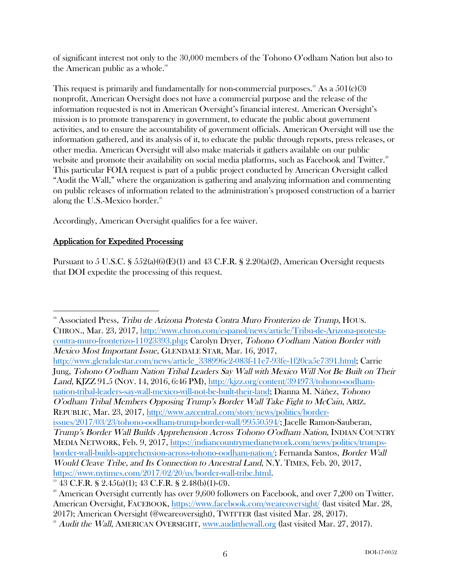of significant interest not only to the 30,000 members of the Tohono O'odham Nation but also to the American public as a whole. $18$ 

This request is primarily and fundamentally for non-commercial purposes.<sup>19</sup> As a  $501(c)(3)$ nonprofit, American Oversight does not have a commercial purpose and the release of the information requested is not in American Oversight's financial interest. American Oversight's mission is to promote transparency in government, to educate the public about government activities, and to ensure the accountability of government officials. American Oversight will use the information gathered, and its analysis of it, to educate the public through reports, press releases, or other media. American Oversight will also make materials it gathers available on our public website and promote their availability on social media platforms, such as Facebook and Twitter.<sup>20</sup> This particular FOIA request is part of a public project conducted by American Oversight called "Audit the Wall," where the organization is gathering and analyzing information and commenting on public releases of information related to the administration's proposed construction of a barrier along the U.S.-Mexico border. $21$ 

Accordingly, American Oversight qualifies for a fee waiver.

### Application for Expedited Processing

 

Pursuant to 5 U.S.C.  $\S 552(a)(6)(E)(1)$  and 43 C.F.R.  $\S 2.20(a)(2)$ , American Oversight requests that DOI expedite the processing of this request.

<sup>18</sup> Associated Press, Tribu de Arizona Protesta Contra Muro Fronterizo de Trump, HOUS. CHRON., Mar. 23, 2017, http://www.chron.com/espanol/news/article/Tribu-de-Arizona-protestacontra-muro-fronterizo-11023393.php; Carolyn Dryer, Tohono O'odham Nation Border with Mexico Most Important Issue, GLENDALE STAR, Mar. 16, 2017, http://www.glendalestar.com/news/article\_338996c2-083f-11e7-93fe-1f20ca5e7391.html; Carrie Jung, Tohono O'odham Nation Tribal Leaders Say Wall with Mexico Will Not Be Built on Their Land, KJZZ 91.5 (NOV. 14, 2016, 6:46 PM), http://kjzz.org/content/394973/tohono-oodhamnation-tribal-leaders-say-wall-mexico-will-not-be-built-their-land; Dianna M. Náñez, Tohono O'odham Tribal Members Opposing Trump's Border Wall Take Fight to McCain, ARIZ. REPUBLIC, Mar. 23, 2017, http://www.azcentral.com/story/news/politics/borderissues/2017/03/23/tohono-oodham-trump-border-wall/99550594/; Jacelle Ramon-Sauberan, Trump's Border Wall Builds Apprehension Across Tohono O'odham Nation, INDIAN COUNTRY MEDIA NETWORK, Feb. 9, 2017, https://indiancountrymedianetwork.com/news/politics/trumpsborder-wall-builds-apprehension-across-tohono-oodham-nation/; Fernanda Santos, Border Wall Would Cleave Tribe, and Its Connection to Ancestral Land, N.Y. TIMES, Feb. 20, 2017, https://www.nytimes.com/2017/02/20/us/border-wall-tribe.html.

 $19$  43 C.F.R. § 2.45(a)(1); 43 C.F.R. § 2.48(b)(1)-(3).

 $20$ <sup>20</sup> American Oversight currently has over 9,600 followers on Facebook, and over 7,200 on Twitter. American Oversight, FACEBOOK, https://www.facebook.com/weareoversight/ (last visited Mar. 28, 2017); American Oversight (@weareoversight), TWITTER (last visited Mar. 28, 2017).

<sup>&</sup>lt;sup>21</sup> Audit the Wall, AMERICAN OVERSIGHT, www.auditthewall.org (last visited Mar. 27, 2017).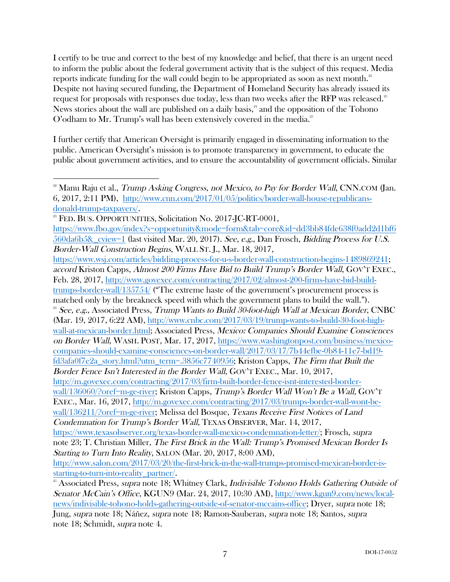I certify to be true and correct to the best of my knowledge and belief, that there is an urgent need to inform the public about the federal government activity that is the subject of this request. Media reports indicate funding for the wall could begin to be appropriated as soon as next month. $^{\text{\tiny{22}}}$ Despite not having secured funding, the Department of Homeland Security has already issued its request for proposals with responses due today, less than two weeks after the RFP was released. $^{\textrm{\tiny{23}}}$ News stories about the wall are published on a daily basis,<sup>24</sup> and the opposition of the Tohono O'odham to Mr. Trump's wall has been extensively covered in the media.<sup>25</sup>

I further certify that American Oversight is primarily engaged in disseminating information to the public. American Oversight's mission is to promote transparency in government, to educate the public about government activities, and to ensure the accountability of government officials. Similar

 

<sup>&</sup>lt;sup>22</sup> Manu Raju et al., *Trump Asking Congress, not Mexico, to Pay for Border Wall*, CNN.COM (Jan. 6, 2017, 2:11 PM), http://www.cnn.com/2017/01/05/politics/border-wall-house-republicansdonald-trump-taxpayers/.<br><sup>23</sup> FED. BUS. OPPORTUNITIES, Solicitation No. 2017-JC-RT-0001,

https://www.fbo.gov/index?s=opportunity&mode=form&tab=core&id=dd3bb84fde638f0add2d1bf6 560da6b5&\_cview=1 (last visited Mar. 20, 2017). See, e.g., Dan Frosch, Bidding Process for U.S. Border-Wall Construction Begins, WALL ST. J., Mar. 18, 2017,

https://www.wsj.com/articles/bidding-process-for-u-s-border-wall-construction-begins-1489869241; accord Kriston Capps, Almost 200 Firms Have Bid to Build Trump's Border Wall, GOV'T EXEC., Feb. 28, 2017, http://www.govexec.com/contracting/2017/02/almost-200-firms-have-bid-buildtrumps-border-wall/135754/ ("The extreme haste of the government's procurement process is matched only by the breakneck speed with which the government plans to build the wall."). <sup>24</sup> See, e.g., Associated Press, Trump Wants to Build 30-foot-high Wall at Mexican Border, CNBC (Mar. 19, 2017, 6:22 AM), http://www.cnbc.com/2017/03/19/trump-wants-to-build-30-foot-highwall-at-mexican-border.html; Associated Press, Mexico: Companies Should Examine Consciences on Border Wall, WASH. POST, Mar. 17, 2017, https://www.washingtonpost.com/business/mexicocompanies-should-examine-consciences-on-border-wall/2017/03/17/7b44efbe-0b84-11e7-bd19 fd3afa0f7e2a\_story.html?utm\_term=.3856c7740956; Kriston Capps, The Firm that Built the Border Fence Isn't Interested in the Border Wall, GOV'T EXEC., Mar. 10, 2017, http://m.govexec.com/contracting/2017/03/firm-built-border-fence-isnt-interested-borderwall/136060/?oref=m-ge-river; Kriston Capps, Trump's Border Wall Won't Be a Wall, GOV'T EXEC., Mar. 16, 2017, http://m.govexec.com/contracting/2017/03/trumps-border-wall-wont-bewall/136211/?oref=m-ge-river; Melissa del Bosque, Texans Receive First Notices of Land Condemnation for Trump's Border Wall, TEXAS OBSERVER, Mar. 14, 2017, https://www.texasobserver.org/texas-border-wall-mexico-condemnation-letter/; Frosch, supra note 23; T. Christian Miller, The First Brick in the Wall: Trump's Promised Mexican Border Is Starting to Turn Into Reality, SALON (Mar. 20, 2017, 8:00 AM), http://www.salon.com/2017/03/20/the-first-brick-in-the-wall-trumps-promised-mexican-border-isstarting-to-turn-into-reality\_partner/. <sup>25</sup> Associated Press, supra note 18; Whitney Clark, Indivisible Tohono Holds Gathering Outside of

Senator McCain's Office, KGUN9 (Mar. 24, 2017, 10:30 AM), http://www.kgun9.com/news/localnews/indivisible-tohono-holds-gathering-outside-of-senator-mccains-office; Dryer, supra note 18; Jung, supra note 18; Náñez, supra note 18; Ramon-Sauberan, supra note 18; Santos, supra note 18; Schmidt, supra note 4.